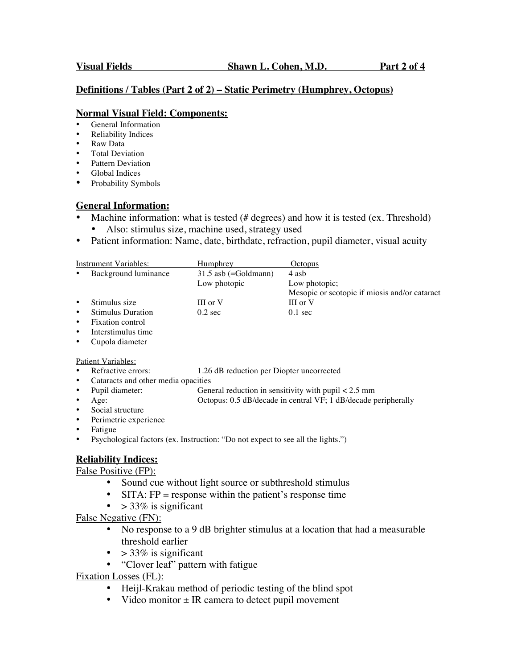#### **Definitions / Tables (Part 2 of 2) – Static Perimetry (Humphrey, Octopus)**

#### **Normal Visual Field: Components:**

- General Information
- Reliability Indices
- Raw Data
- Total Deviation
- Pattern Deviation
- Global Indices
- Probability Symbols

## **General Information:**

- Machine information: what is tested  $(# degrees)$  and how it is tested  $(ex.$  Threshold)
	- Also: stimulus size, machine used, strategy used
- Patient information: Name, date, birthdate, refraction, pupil diameter, visual acuity

| Instrument Variables: |                          | Humphrey               | Octopus                                       |
|-----------------------|--------------------------|------------------------|-----------------------------------------------|
| $\bullet$             | Background luminance     | $31.5$ asb (=Goldmann) | 4 asb                                         |
|                       |                          | Low photopic           | Low photopic;                                 |
|                       |                          |                        | Mesopic or scotopic if miosis and/or cataract |
| $\bullet$             | Stimulus size            | III or V               | III or V                                      |
| $\bullet$             | <b>Stimulus Duration</b> | $0.2$ sec              | $0.1 \text{ sec}$                             |
| $\bullet$             | Fixation control         |                        |                                               |
| $\bullet$             | Interstimulus time       |                        |                                               |

• Cupola diameter

Patient Variables:

- Refractive errors: 1.26 dB reduction per Diopter uncorrected
- Cataracts and other media opacities<br>• Pupil diameter: Gen
- Pupil diameter: General reduction in sensitivity with pupil < 2.5 mm<br>• Age: Octopus: 0.5 dB/decade in central VF; 1 dB/decade p Octopus: 0.5 dB/decade in central VF; 1 dB/decade peripherally
- 
- Social structure
- Perimetric experience
- **Fatigue**
- Psychological factors (ex. Instruction: "Do not expect to see all the lights.")

## **Reliability Indices:**

False Positive (FP):

- Sound cue without light source or subthreshold stimulus
- SITA:  $FP =$  response within the patient's response time
	- $\bullet$  > 33% is significant

False Negative (FN):

- No response to a 9 dB brighter stimulus at a location that had a measurable threshold earlier
- $>$  33% is significant
- "Clover leaf" pattern with fatigue

Fixation Losses (FL):

- Heijl-Krakau method of periodic testing of the blind spot
- Video monitor  $\pm$  IR camera to detect pupil movement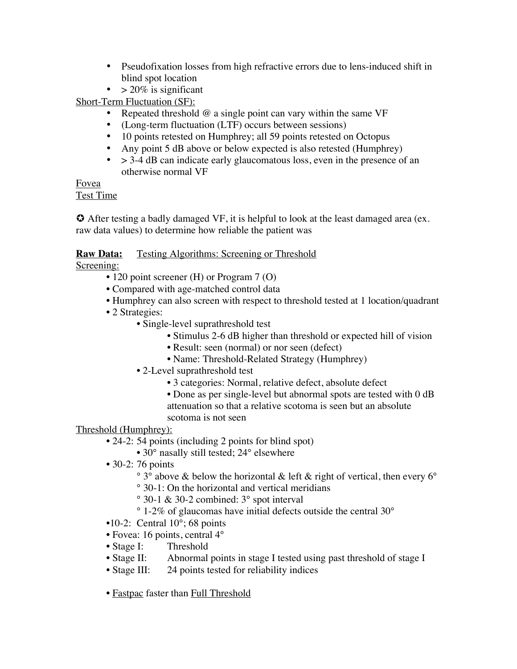- Pseudofixation losses from high refractive errors due to lens-induced shift in blind spot location
- $> 20\%$  is significant

Short-Term Fluctuation (SF):

- Repeated threshold  $@$  a single point can vary within the same VF
- (Long-term fluctuation (LTF) occurs between sessions)
- 10 points retested on Humphrey; all 59 points retested on Octopus
- Any point 5 dB above or below expected is also retested (Humphrey)
- $\bullet$  > 3-4 dB can indicate early glaucomatous loss, even in the presence of an otherwise normal VF

Fovea

# Test Time

 After testing a badly damaged VF, it is helpful to look at the least damaged area (ex. raw data values) to determine how reliable the patient was

# **Raw Data:** Testing Algorithms: Screening or Threshold

Screening:

- 120 point screener (H) or Program 7 (O)
- Compared with age-matched control data
- Humphrey can also screen with respect to threshold tested at 1 location/quadrant
- 2 Strategies:
	- Single-level suprathreshold test
		- Stimulus 2-6 dB higher than threshold or expected hill of vision
		- Result: seen (normal) or nor seen (defect)
		- Name: Threshold-Related Strategy (Humphrey)
	- 2-Level suprathreshold test
		- 3 categories: Normal, relative defect, absolute defect
		- Done as per single-level but abnormal spots are tested with 0 dB attenuation so that a relative scotoma is seen but an absolute scotoma is not seen

# Threshold (Humphrey):

- 24-2: 54 points (including 2 points for blind spot)
	- 30° nasally still tested; 24° elsewhere
- 30-2: 76 points
	- ° 3° above & below the horizontal & left & right of vertical, then every 6°
	- ° 30-1: On the horizontal and vertical meridians
	- ° 30-1 & 30-2 combined: 3° spot interval
	- ° 1-2% of glaucomas have initial defects outside the central 30°
- $\bullet$ 10-2: Central 10 $\degree$ ; 68 points
- Fovea: 16 points, central 4°
- Stage I: Threshold
- Stage II: Abnormal points in stage I tested using past threshold of stage I
- Stage III: 24 points tested for reliability indices
- Fastpac faster than Full Threshold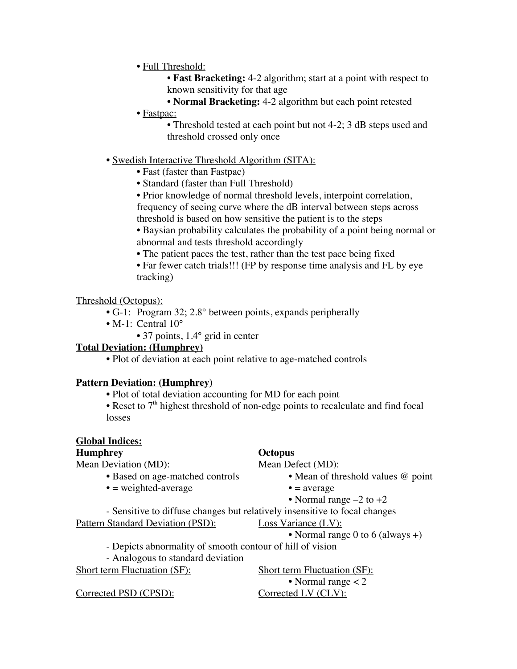## • Full Threshold:

- **Fast Bracketing:** 4-2 algorithm; start at a point with respect to known sensitivity for that age
- **Normal Bracketing:** 4-2 algorithm but each point retested
- Fastpac:
	- Threshold tested at each point but not 4-2; 3 dB steps used and threshold crossed only once
- Swedish Interactive Threshold Algorithm (SITA):
	- Fast (faster than Fastpac)
	- Standard (faster than Full Threshold)
	- Prior knowledge of normal threshold levels, interpoint correlation, frequency of seeing curve where the dB interval between steps across threshold is based on how sensitive the patient is to the steps
	- Baysian probability calculates the probability of a point being normal or abnormal and tests threshold accordingly
	- The patient paces the test, rather than the test pace being fixed
	- Far fewer catch trials!!! (FP by response time analysis and FL by eye) tracking)

#### Threshold (Octopus):

- G-1: Program 32; 2.8° between points, expands peripherally
- M-1: Central 10°
	- 37 points, 1.4° grid in center

#### **Total Deviation: (Humphrey)**

• Plot of deviation at each point relative to age-matched controls

## **Pattern Deviation: (Humphrey)**

- Plot of total deviation accounting for MD for each point
- Reset to  $7<sup>th</sup>$  highest threshold of non-edge points to recalculate and find focal losses

# **Global Indices:**

# **Humphrey Octopus**

| Mean Deviation (MD):                                                       | Mean Defect (MD):                                         |  |  |
|----------------------------------------------------------------------------|-----------------------------------------------------------|--|--|
| • Based on age-matched controls                                            | • Mean of threshold values @ point                        |  |  |
| $\bullet$ = weighted-average                                               | $\bullet$ = average                                       |  |  |
|                                                                            | • Normal range $-2$ to $+2$                               |  |  |
| - Sensitive to diffuse changes but relatively insensitive to focal changes |                                                           |  |  |
| Pattern Standard Deviation (PSD):                                          | Loss Variance $(LV)$ :                                    |  |  |
|                                                                            | • Normal range 0 to 6 (always +)                          |  |  |
|                                                                            | - Depicts abnormality of smooth contour of hill of vision |  |  |
| - Analogous to standard deviation                                          |                                                           |  |  |
| <b>Short term Fluctuation (SF):</b>                                        | <b>Short term Fluctuation (SF):</b>                       |  |  |
|                                                                            | • Normal range $<$ 2                                      |  |  |
| Corrected PSD (CPSD):                                                      | Corrected LV (CLV):                                       |  |  |
|                                                                            |                                                           |  |  |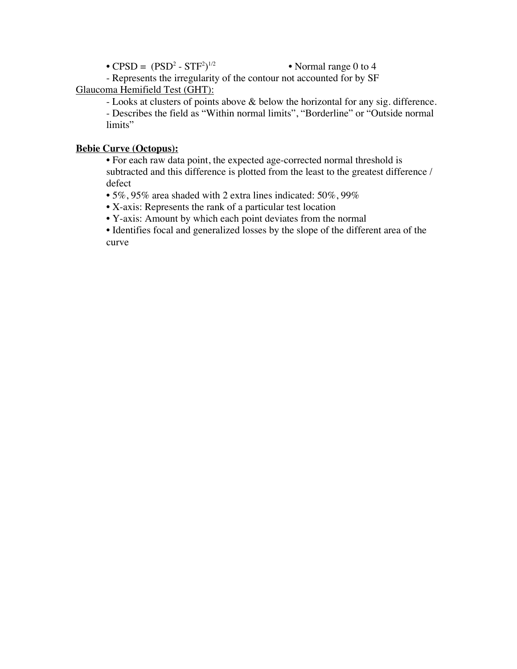•  $CPSD = (PSD<sup>2</sup> - STF<sup>2</sup>)$ • Normal range 0 to 4

- Represents the irregularity of the contour not accounted for by SF Glaucoma Hemifield Test (GHT):

- Looks at clusters of points above & below the horizontal for any sig. difference. - Describes the field as "Within normal limits", "Borderline" or "Outside normal limits"

## **Bebie Curve (Octopus):**

• For each raw data point, the expected age-corrected normal threshold is subtracted and this difference is plotted from the least to the greatest difference / defect

• 5%, 95% area shaded with 2 extra lines indicated: 50%, 99%

• X-axis: Represents the rank of a particular test location

• Y-axis: Amount by which each point deviates from the normal

• Identifies focal and generalized losses by the slope of the different area of the curve